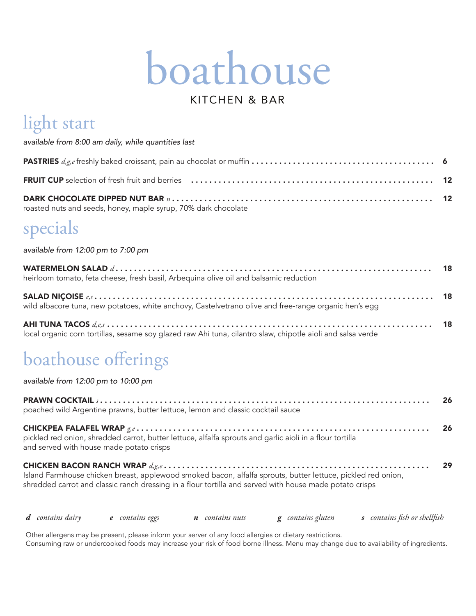# boathouse

### KITCHEN & BAR

### light start

|  |  |  | available from 8:00 am daily, while quantities last |  |
|--|--|--|-----------------------------------------------------|--|
|  |  |  |                                                     |  |

| roasted nuts and seeds, honey, maple syrup, 70% dark chocolate |  |
|----------------------------------------------------------------|--|

### specials

available from 12:00 pm to 7:00 pm

| heirloom tomato, feta cheese, fresh basil, Arbequina olive oil and balsamic reduction                 |  |
|-------------------------------------------------------------------------------------------------------|--|
| wild albacore tuna, new potatoes, white anchovy, Castelvetrano olive and free-range organic hen's egg |  |

18 . . . . . . . . . . . . . . . . . . . . . . . . local organic corn tortillas, sesame soy glazed raw Ahi tuna, cilantro slaw, chipotle aioli and salsa verde

### boathouse offerings

available from 12:00 pm to 10:00 pm

| poached wild Argentine prawns, butter lettuce, lemon and classic cocktail sauce                                                                                                                                         | -26 |
|-------------------------------------------------------------------------------------------------------------------------------------------------------------------------------------------------------------------------|-----|
| pickled red onion, shredded carrot, butter lettuce, alfalfa sprouts and garlic aioli in a flour tortilla<br>and served with house made potato crisps                                                                    | 26  |
| Island Farmhouse chicken breast, applewood smoked bacon, alfalfa sprouts, butter lettuce, pickled red onion,<br>shredded carrot and classic ranch dressing in a flour tortilla and served with house made potato crisps | 29  |
| <b>d</b> contains dairy <b>e</b> contains eggs <b>n</b> contains nuts <b>g</b> contains gluten <b>s</b> contains fish or shellfish                                                                                      |     |

Other allergens may be present, please inform your server of any food allergies or dietary restrictions. Consuming raw or undercooked foods may increase your risk of food borne illness. Menu may change due to availability of ingredients.